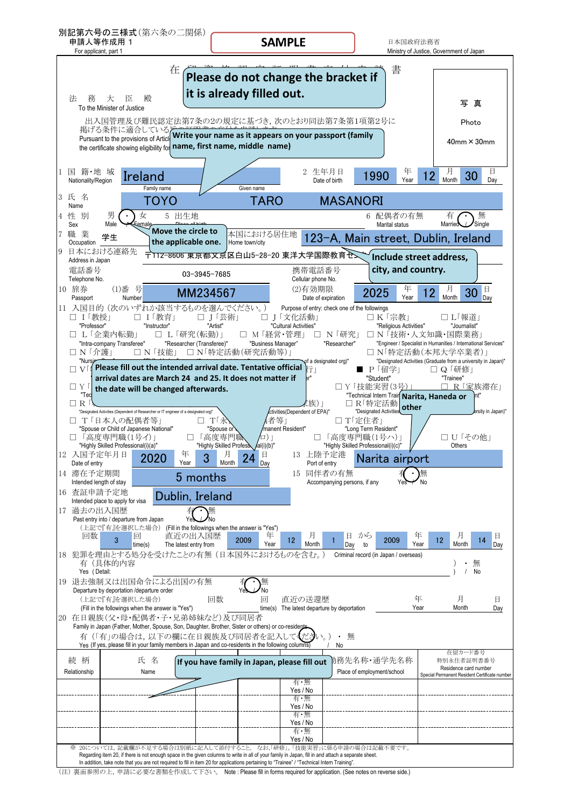

| (注) 裏面参照の上, 申請に必要な書類を作成して下さい。 Note : Please fill in forms required for application. (See notes on reverse side.) |
|------------------------------------------------------------------------------------------------------------------|
|                                                                                                                  |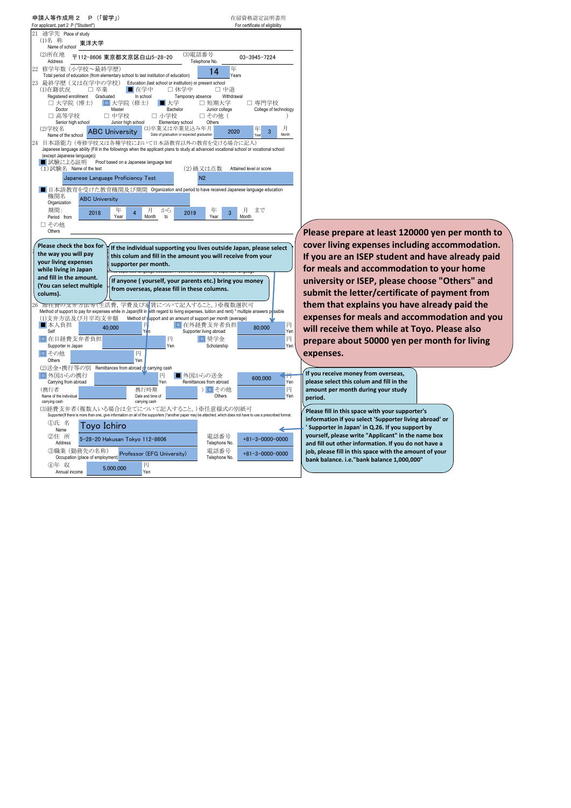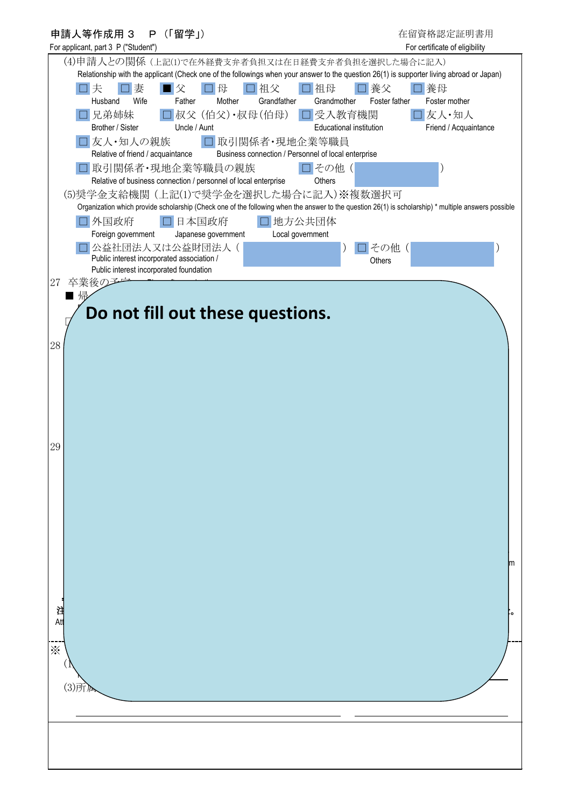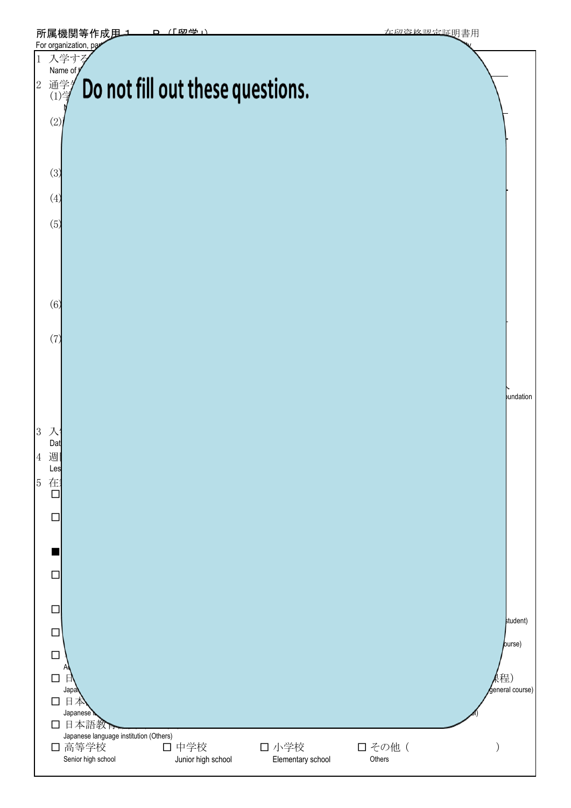